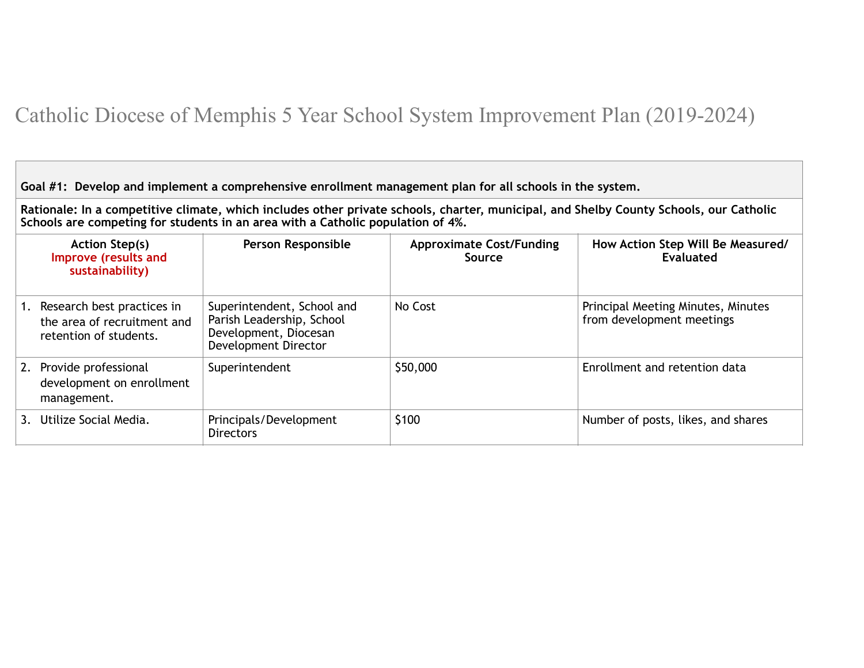## Catholic Diocese of Memphis 5 Year School System Improvement Plan (2019-2024)

**Goal #1: Develop and implement a comprehensive enrollment management plan for all schools in the system.**

**Rationale: In a competitive climate, which includes other private schools, charter, municipal, and Shelby County Schools, our Catholic Schools are competing for students in an area with a Catholic population of 4%.**

| <b>Action Step(s)</b><br>Improve (results and<br>sustainability)                       | <b>Person Responsible</b>                                                                                | <b>Approximate Cost/Funding</b><br>Source | How Action Step Will Be Measured/<br>Evaluated                  |
|----------------------------------------------------------------------------------------|----------------------------------------------------------------------------------------------------------|-------------------------------------------|-----------------------------------------------------------------|
| 1. Research best practices in<br>the area of recruitment and<br>retention of students. | Superintendent, School and<br>Parish Leadership, School<br>Development, Diocesan<br>Development Director | No Cost                                   | Principal Meeting Minutes, Minutes<br>from development meetings |
| 2. Provide professional<br>development on enrollment<br>management.                    | Superintendent                                                                                           | \$50,000                                  | Enrollment and retention data                                   |
| 3. Utilize Social Media.                                                               | Principals/Development<br><b>Directors</b>                                                               | \$100                                     | Number of posts, likes, and shares                              |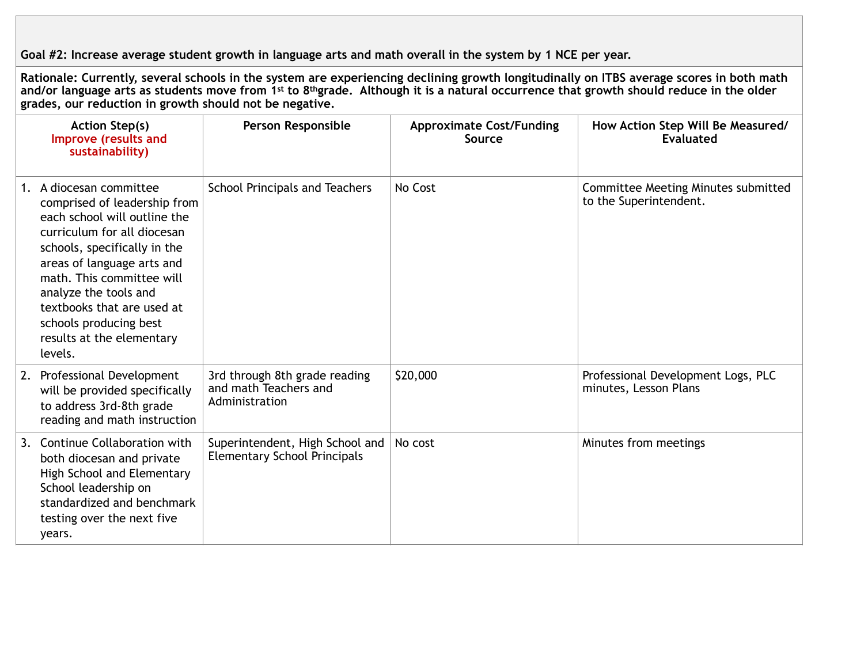**Goal #2: Increase average student growth in language arts and math overall in the system by 1 NCE per year.**

**Rationale: Currently, several schools in the system are experiencing declining growth longitudinally on ITBS average scores in both math and/or language arts as students move from 1st to 8thgrade. Although it is a natural occurrence that growth should reduce in the older grades, our reduction in growth should not be negative.** 

| <b>Action Step(s)</b><br>Improve (results and<br>sustainability)                                                                                                                                                                                                                                                                           | Person Responsible                                                       | <b>Approximate Cost/Funding</b><br>Source | How Action Step Will Be Measured/<br>Evaluated                |
|--------------------------------------------------------------------------------------------------------------------------------------------------------------------------------------------------------------------------------------------------------------------------------------------------------------------------------------------|--------------------------------------------------------------------------|-------------------------------------------|---------------------------------------------------------------|
| 1. A diocesan committee<br>comprised of leadership from<br>each school will outline the<br>curriculum for all diocesan<br>schools, specifically in the<br>areas of language arts and<br>math. This committee will<br>analyze the tools and<br>textbooks that are used at<br>schools producing best<br>results at the elementary<br>levels. | School Principals and Teachers                                           | No Cost                                   | Committee Meeting Minutes submitted<br>to the Superintendent. |
| 2. Professional Development<br>will be provided specifically<br>to address 3rd-8th grade<br>reading and math instruction                                                                                                                                                                                                                   | 3rd through 8th grade reading<br>and math Teachers and<br>Administration | \$20,000                                  | Professional Development Logs, PLC<br>minutes, Lesson Plans   |
| 3. Continue Collaboration with<br>both diocesan and private<br>High School and Elementary<br>School leadership on<br>standardized and benchmark<br>testing over the next five<br>years.                                                                                                                                                    | Superintendent, High School and<br><b>Elementary School Principals</b>   | No cost                                   | Minutes from meetings                                         |